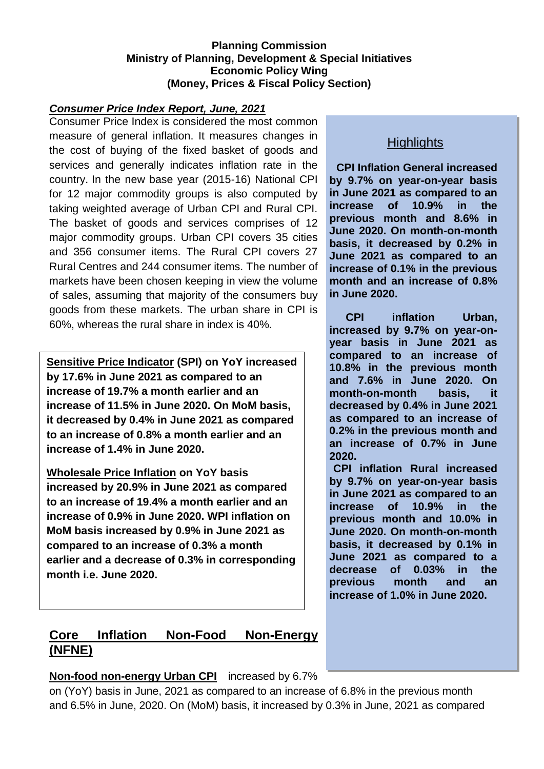#### **Planning Commission Ministry of Planning, Development & Special Initiatives Economic Policy Wing (Money, Prices & Fiscal Policy Section)**

#### *Consumer Price Index Report, June, 2021*

Consumer Price Index is considered the most common measure of general inflation. It measures changes in the cost of buying of the fixed basket of goods and services and generally indicates inflation rate in the country. In the new base year (2015-16) National CPI for 12 major commodity groups is also computed by taking weighted average of Urban CPI and Rural CPI. The basket of goods and services comprises of 12 major commodity groups. Urban CPI covers 35 cities and 356 consumer items. The Rural CPI covers 27 Rural Centres and 244 consumer items. The number of markets have been chosen keeping in view the volume of sales, assuming that majority of the consumers buy goods from these markets. The urban share in CPI is 60%, whereas the rural share in index is 40%.

**Sensitive Price Indicator (SPI) on YoY increased by 17.6% in June 2021 as compared to an increase of 19.7% a month earlier and an increase of 11.5% in June 2020. On MoM basis, it decreased by 0.4% in June 2021 as compared to an increase of 0.8% a month earlier and an increase of 1.4% in June 2020.**

**Wholesale Price Inflation on YoY basis increased by 20.9% in June 2021 as compared to an increase of 19.4% a month earlier and an increase of 0.9% in June 2020. WPI inflation on MoM basis increased by 0.9% in June 2021 as compared to an increase of 0.3% a month earlier and a decrease of 0.3% in corresponding month i.e. June 2020.**

## **Highlights**

**CPI Inflation General increased by 9.7% on year-on-year basis in June 2021 as compared to an increase of 10.9% in the previous month and 8.6% in June 2020. On month-on-month basis, it decreased by 0.2% in June 2021 as compared to an increase of 0.1% in the previous month and an increase of 0.8% in June 2020.**

**CPI inflation Urban, increased by 9.7% on year-onyear basis in June 2021 as compared to an increase of 10.8% in the previous month and 7.6% in June 2020. On month-on-month basis, it decreased by 0.4% in June 2021 as compared to an increase of 0.2% in the previous month and an increase of 0.7% in June 2020.**

**CPI inflation Rural increased by 9.7% on year-on-year basis in June 2021 as compared to an increase of 10.9% in the previous month and 10.0% in June 2020. On month-on-month basis, it decreased by 0.1% in June 2021 as compared to a decrease of 0.03% in the previous month and an increase of 1.0% in June 2020.**

# **Core Inflation Non-Food Non-Energy (NFNE)**

#### **Non-food non-energy Urban CPI** increased by 6.7%

on (YoY) basis in June, 2021 as compared to an increase of 6.8% in the previous month and 6.5% in June, 2020. On (MoM) basis, it increased by 0.3% in June, 2021 as compared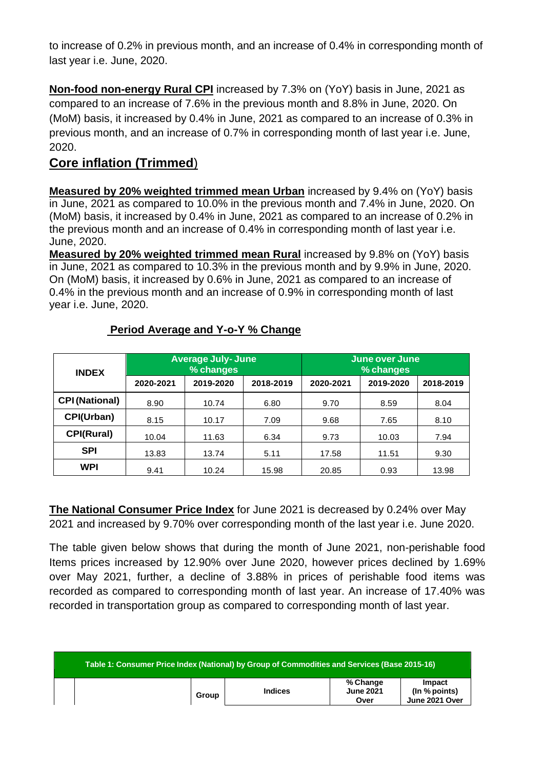to increase of 0.2% in previous month, and an increase of 0.4% in corresponding month of last year i.e. June, 2020.

**Non-food non-energy Rural CPI** increased by 7.3% on (YoY) basis in June, 2021 as compared to an increase of 7.6% in the previous month and 8.8% in June, 2020. On (MoM) basis, it increased by 0.4% in June, 2021 as compared to an increase of 0.3% in previous month, and an increase of 0.7% in corresponding month of last year i.e. June, 2020.

# **Core inflation (Trimmed**)

**Measured by 20% weighted trimmed mean Urban** increased by 9.4% on (YoY) basis in June, 2021 as compared to 10.0% in the previous month and 7.4% in June, 2020. On (MoM) basis, it increased by 0.4% in June, 2021 as compared to an increase of 0.2% in the previous month and an increase of 0.4% in corresponding month of last year i.e. June, 2020.

**Measured by 20% weighted trimmed mean Rural** increased by 9.8% on (YoY) basis in June, 2021 as compared to 10.3% in the previous month and by 9.9% in June, 2020. On (MoM) basis, it increased by 0.6% in June, 2021 as compared to an increase of 0.4% in the previous month and an increase of 0.9% in corresponding month of last year i.e. June, 2020.

| <b>INDEX</b>          |           | <b>Average July- June</b><br>% changes |           | June over June<br>% changes |           |           |  |
|-----------------------|-----------|----------------------------------------|-----------|-----------------------------|-----------|-----------|--|
|                       | 2020-2021 | 2019-2020                              | 2018-2019 | 2020-2021                   | 2019-2020 | 2018-2019 |  |
| <b>CPI (National)</b> | 8.90      | 10.74                                  | 6.80      | 9.70                        | 8.59      | 8.04      |  |
| CPI(Urban)            | 8.15      | 10.17                                  | 7.09      | 9.68                        | 7.65      | 8.10      |  |
| <b>CPI(Rural)</b>     | 10.04     | 11.63                                  | 6.34      | 9.73                        | 10.03     | 7.94      |  |
| <b>SPI</b>            | 13.83     | 13.74                                  | 5.11      | 17.58                       | 11.51     | 9.30      |  |
| WPI                   | 9.41      | 10.24                                  | 15.98     | 20.85                       | 0.93      | 13.98     |  |

#### **Period Average and Y-o-Y % Change**

**The National Consumer Price Index** for June 2021 is decreased by 0.24% over May 2021 and increased by 9.70% over corresponding month of the last year i.e. June 2020.

The table given below shows that during the month of June 2021, non-perishable food Items prices increased by 12.90% over June 2020, however prices declined by 1.69% over May 2021, further, a decline of 3.88% in prices of perishable food items was recorded as compared to corresponding month of last year. An increase of 17.40% was recorded in transportation group as compared to corresponding month of last year.

| Table 1: Consumer Price Index (National) by Group of Commodities and Services (Base 2015-16) |       |                |                                      |                                           |  |  |
|----------------------------------------------------------------------------------------------|-------|----------------|--------------------------------------|-------------------------------------------|--|--|
|                                                                                              | Group | <b>Indices</b> | % Change<br><b>June 2021</b><br>Over | Impact<br>(In % points)<br>June 2021 Over |  |  |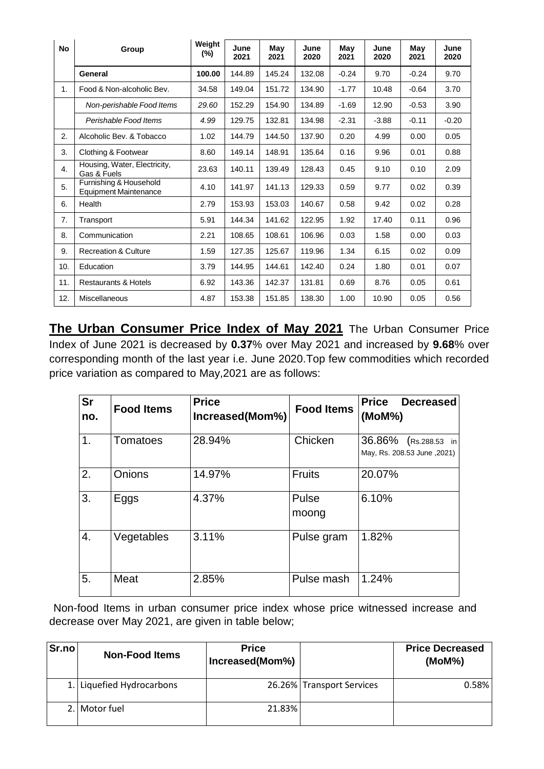| <b>No</b> | Group                                                  | Weight<br>(%) | June<br>2021 | May<br>2021 | June<br>2020 | May<br>2021 | June<br>2020 | May<br>2021 | June<br>2020 |
|-----------|--------------------------------------------------------|---------------|--------------|-------------|--------------|-------------|--------------|-------------|--------------|
|           | General                                                | 100.00        | 144.89       | 145.24      | 132.08       | $-0.24$     | 9.70         | $-0.24$     | 9.70         |
| 1.        | Food & Non-alcoholic Bev.                              | 34.58         | 149.04       | 151.72      | 134.90       | $-1.77$     | 10.48        | $-0.64$     | 3.70         |
|           | Non-perishable Food Items                              | 29.60         | 152.29       | 154.90      | 134.89       | $-1.69$     | 12.90        | $-0.53$     | 3.90         |
|           | Perishable Food Items                                  | 4.99          | 129.75       | 132.81      | 134.98       | $-2.31$     | $-3.88$      | $-0.11$     | $-0.20$      |
| 2.        | Alcoholic Bev. & Tobacco                               | 1.02          | 144.79       | 144.50      | 137.90       | 0.20        | 4.99         | 0.00        | 0.05         |
| 3.        | Clothing & Footwear                                    | 8.60          | 149.14       | 148.91      | 135.64       | 0.16        | 9.96         | 0.01        | 0.88         |
| 4.        | Housing, Water, Electricity,<br>Gas & Fuels            | 23.63         | 140.11       | 139.49      | 128.43       | 0.45        | 9.10         | 0.10        | 2.09         |
| 5.        | Furnishing & Household<br><b>Equipment Maintenance</b> | 4.10          | 141.97       | 141.13      | 129.33       | 0.59        | 9.77         | 0.02        | 0.39         |
| 6.        | Health                                                 | 2.79          | 153.93       | 153.03      | 140.67       | 0.58        | 9.42         | 0.02        | 0.28         |
| 7.        | Transport                                              | 5.91          | 144.34       | 141.62      | 122.95       | 1.92        | 17.40        | 0.11        | 0.96         |
| 8.        | Communication                                          | 2.21          | 108.65       | 108.61      | 106.96       | 0.03        | 1.58         | 0.00        | 0.03         |
| 9.        | <b>Recreation &amp; Culture</b>                        | 1.59          | 127.35       | 125.67      | 119.96       | 1.34        | 6.15         | 0.02        | 0.09         |
| 10.       | Education                                              | 3.79          | 144.95       | 144.61      | 142.40       | 0.24        | 1.80         | 0.01        | 0.07         |
| 11.       | <b>Restaurants &amp; Hotels</b>                        | 6.92          | 143.36       | 142.37      | 131.81       | 0.69        | 8.76         | 0.05        | 0.61         |
| 12.       | Miscellaneous                                          | 4.87          | 153.38       | 151.85      | 138.30       | 1.00        | 10.90        | 0.05        | 0.56         |

**The Urban Consumer Price Index of May 2021** The Urban Consumer Price Index of June 2021 is decreased by **0.37**% over May 2021 and increased by **9.68**% over corresponding month of the last year i.e. June 2020.Top few commodities which recorded price variation as compared to May,2021 are as follows:

| <b>Sr</b><br>no. | <b>Food Items</b> | <b>Price</b><br>Increased(Mom%) | <b>Food Items</b> | <b>Price</b><br><b>Decreased</b><br>(MoM%)                |
|------------------|-------------------|---------------------------------|-------------------|-----------------------------------------------------------|
| 1.               | Tomatoes          | 28.94%                          | Chicken           | 36.86%<br>$(Rs.288.53)$ in<br>May, Rs. 208.53 June, 2021) |
| 2.               | Onions            | 14.97%                          | <b>Fruits</b>     | 20.07%                                                    |
| 3.               | Eggs              | 4.37%                           | Pulse<br>moong    | 6.10%                                                     |
| 4.               | Vegetables        | 3.11%                           | Pulse gram        | 1.82%                                                     |
| 5.               | Meat              | 2.85%                           | Pulse mash        | 1.24%                                                     |

Non-food Items in urban consumer price index whose price witnessed increase and decrease over May 2021, are given in table below;

| Sr.no | <b>Non-Food Items</b>     | <b>Price</b><br>Increased(Mom%) |                           | <b>Price Decreased</b><br>(MoM%) |
|-------|---------------------------|---------------------------------|---------------------------|----------------------------------|
|       | 1. Liquefied Hydrocarbons |                                 | 26.26% Transport Services | 0.58%                            |
|       | 2. Motor fuel             | 21.83%                          |                           |                                  |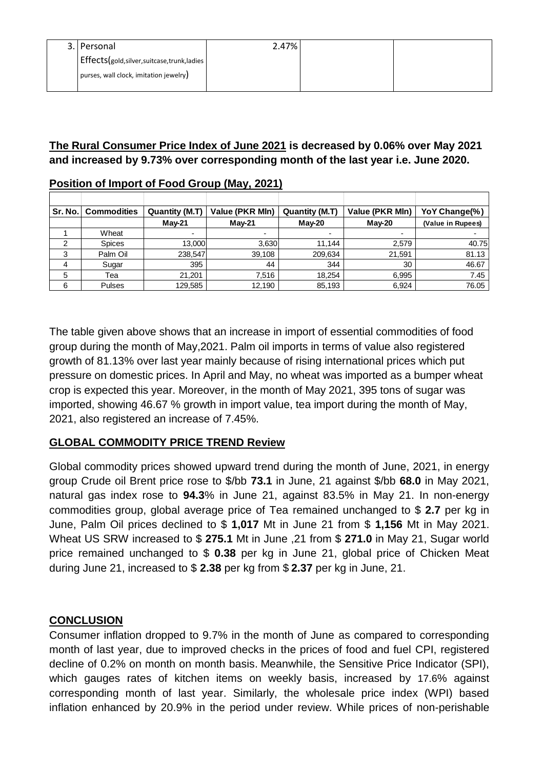| 3. Personal                               | 2.47% |  |
|-------------------------------------------|-------|--|
| Effects(gold,silver,suitcase,trunk,ladies |       |  |
| purses, wall clock, imitation jewelry)    |       |  |
|                                           |       |  |

### **The Rural Consumer Price Index of June 2021 is decreased by 0.06% over May 2021 and increased by 9.73% over corresponding month of the last year i.e. June 2020.**

| Sr. No. | <b>Commodities</b> | Quantity (M.T) | Value (PKR MIn) | Quantity (M.T) | Value (PKR MIn) | YoY Change(%)     |
|---------|--------------------|----------------|-----------------|----------------|-----------------|-------------------|
|         |                    | <b>Mav-21</b>  | $M$ ay-21       | <b>Mav-20</b>  | $Mav-20$        | (Value in Rupees) |
|         | Wheat              | $\blacksquare$ |                 |                |                 |                   |
| 2       | <b>Spices</b>      | <b>13,000</b>  | 3.630           | 11.144         | 2.579           | 40.75             |
| 3       | Palm Oil           | 238,547        | 39,108          | 209,634        | 21,591          | 81.13             |
| 4       | Sugar              | 395            | 44              | 344            | 30              | 46.67             |
| 5       | Tea                | 21.201         | 7.516           | 18.254         | 6,995           | 7.45              |
| 6       | <b>Pulses</b>      | 129,585        | 12,190          | 85,193         | 6,924           | 76.05             |

#### **Position of Import of Food Group (May, 2021)**

The table given above shows that an increase in import of essential commodities of food group during the month of May,2021. Palm oil imports in terms of value also registered growth of 81.13% over last year mainly because of rising international prices which put pressure on domestic prices. In April and May, no wheat was imported as a bumper wheat crop is expected this year. Moreover, in the month of May 2021, 395 tons of sugar was imported, showing 46.67 % growth in import value, tea import during the month of May, 2021, also registered an increase of 7.45%.

## **GLOBAL COMMODITY PRICE TREND Review**

Global commodity prices showed upward trend during the month of June, 2021, in energy group Crude oil Brent price rose to \$/bb **73.1** in June, 21 against \$/bb **68.0** in May 2021, natural gas index rose to **94.3**% in June 21, against 83.5% in May 21. In non-energy commodities group, global average price of Tea remained unchanged to \$ **2.7** per kg in June, Palm Oil prices declined to \$ **1,017** Mt in June 21 from \$ **1,156** Mt in May 2021. Wheat US SRW increased to \$ **275.1** Mt in June ,21 from \$ **271.0** in May 21, Sugar world price remained unchanged to \$ **0.38** per kg in June 21, global price of Chicken Meat during June 21, increased to \$ **2.38** per kg from \$ **2.37** per kg in June, 21.

#### **CONCLUSION**

Consumer inflation dropped to 9.7% in the month of June as compared to corresponding month of last year, due to improved checks in the prices of food and fuel CPI, registered decline of 0.2% on month on month basis. Meanwhile, the Sensitive Price Indicator (SPI), which gauges rates of kitchen items on weekly basis, increased by 17.6% against corresponding month of last year. Similarly, the wholesale price index (WPI) based inflation enhanced by 20.9% in the period under review. While prices of non-perishable